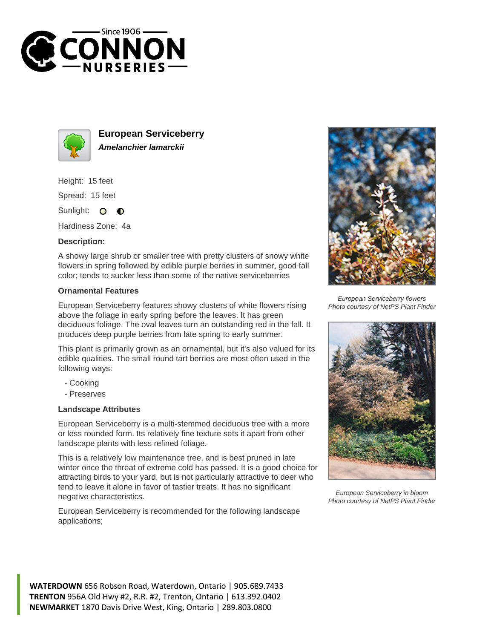



**European Serviceberry Amelanchier lamarckii**

Height: 15 feet

Spread: 15 feet

Sunlight: O  $\bullet$ 

Hardiness Zone: 4a

## **Description:**

A showy large shrub or smaller tree with pretty clusters of snowy white flowers in spring followed by edible purple berries in summer, good fall color; tends to sucker less than some of the native serviceberries

## **Ornamental Features**

European Serviceberry features showy clusters of white flowers rising above the foliage in early spring before the leaves. It has green deciduous foliage. The oval leaves turn an outstanding red in the fall. It produces deep purple berries from late spring to early summer.

This plant is primarily grown as an ornamental, but it's also valued for its edible qualities. The small round tart berries are most often used in the following ways:

- Cooking
- Preserves

## **Landscape Attributes**

European Serviceberry is a multi-stemmed deciduous tree with a more or less rounded form. Its relatively fine texture sets it apart from other landscape plants with less refined foliage.

This is a relatively low maintenance tree, and is best pruned in late winter once the threat of extreme cold has passed. It is a good choice for attracting birds to your yard, but is not particularly attractive to deer who tend to leave it alone in favor of tastier treats. It has no significant negative characteristics.

European Serviceberry is recommended for the following landscape applications;



European Serviceberry flowers Photo courtesy of NetPS Plant Finder



European Serviceberry in bloom Photo courtesy of NetPS Plant Finder

**WATERDOWN** 656 Robson Road, Waterdown, Ontario | 905.689.7433 **TRENTON** 956A Old Hwy #2, R.R. #2, Trenton, Ontario | 613.392.0402 **NEWMARKET** 1870 Davis Drive West, King, Ontario | 289.803.0800